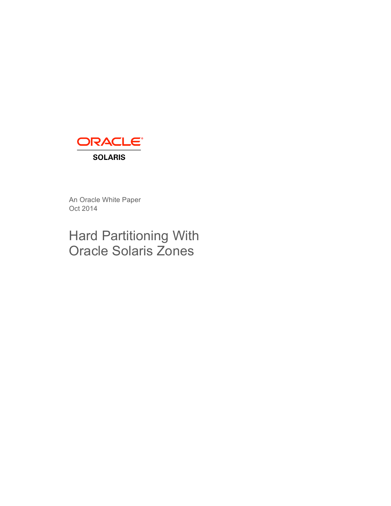

An Oracle White Paper Oct 2014

# Hard Partitioning With Oracle Solaris Zones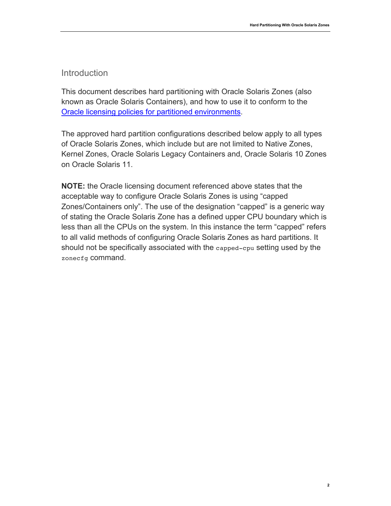### **Introduction**

This document describes hard partitioning with Oracle Solaris Zones (also known as Oracle Solaris Containers), and how to use it to conform to the Oracle licensing policies for partitioned environments.

The approved hard partition configurations described below apply to all types of Oracle Solaris Zones, which include but are not limited to Native Zones, Kernel Zones, Oracle Solaris Legacy Containers and, Oracle Solaris 10 Zones on Oracle Solaris 11.

**NOTE:** the Oracle licensing document referenced above states that the acceptable way to configure Oracle Solaris Zones is using "capped Zones/Containers only". The use of the designation "capped" is a generic way of stating the Oracle Solaris Zone has a defined upper CPU boundary which is less than all the CPUs on the system. In this instance the term "capped" refers to all valid methods of configuring Oracle Solaris Zones as hard partitions. It should not be specifically associated with the capped-cpu setting used by the zonecfg command.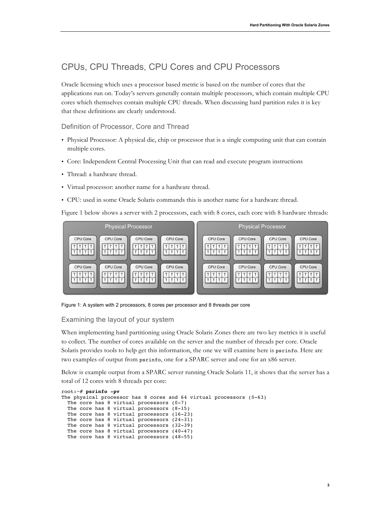# CPUs, CPU Threads, CPU Cores and CPU Processors

Oracle licensing which uses a processor based metric is based on the number of cores that the applications run on. Today's servers generally contain multiple processors, which contain multiple CPU cores which themselves contain multiple CPU threads. When discussing hard partition rules it is key that these definitions are clearly understood.

Definition of Processor, Core and Thread

- Physical Processor: A physical die, chip or processor that is a single computing unit that can contain multiple cores.
- Core: Independent Central Processing Unit that can read and execute program instructions
- Thread: a hardware thread.
- Virtual processor: another name for a hardware thread.
- CPU: used in some Oracle Solaris commands this is another name for a hardware thread.

Figure 1 below shows a server with 2 processors, each with 8 cores, each core with 8 hardware threads:



Figure 1: A system with 2 processors, 8 cores per processor and 8 threads per core

Examining the layout of your system

When implementing hard partitioning using Oracle Solaris Zones there are two key metrics it is useful to collect. The number of cores available on the server and the number of threads per core. Oracle Solaris provides tools to help get this information, the one we will examine here is psrinfo. Here are two examples of output from psrinfo, one for a SPARC server and one for an x86 server.

Below is example output from a SPARC server running Oracle Solaris 11, it shows that the server has a total of 12 cores with 8 threads per core:

```
root:~# psrinfo -pv
The physical processor has 8 cores and 64 virtual processors (0-63)
  The core has 8 virtual processors (0-7)
   The core has 8 virtual processors (8-15)
 The core has 8 virtual processors (16-23)
  The core has 8 virtual processors (24-31)
  The core has 8 virtual processors (32-39)
  The core has 8 virtual processors (40-47)
  The core has 8 virtual processors (48-55)
```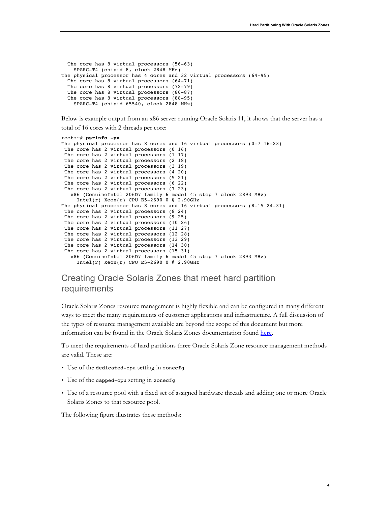```
 The core has 8 virtual processors (56-63)
    SPARC-T4 (chipid 8, clock 2848 MHz)
The physical processor has 4 cores and 32 virtual processors (64-95)
  The core has 8 virtual processors (64-71)
  The core has 8 virtual processors (72-79)
  The core has 8 virtual processors (80-87)
  The core has 8 virtual processors (88-95)
    SPARC-T4 (chipid 65540, clock 2848 MHz)
```
Below is example output from an x86 server running Oracle Solaris 11, it shows that the server has a

total of 16 cores with 2 threads per core:

```
root:~# psrinfo -pv
The physical processor has 8 cores and 16 virtual processors (0-7 16-23)
The core has 2 virtual processors (0 16)
The core has 2 virtual processors (1 17)
The core has 2 virtual processors (2 18)
The core has 2 virtual processors (3 19)
The core has 2 virtual processors (4 20)
The core has 2 virtual processors (5 21)
The core has 2 virtual processors (6 22)
The core has 2 virtual processors (7 23)
   x86 (GenuineIntel 206D7 family 6 model 45 step 7 clock 2893 MHz)
    Intel(r) Xeon(r) CPU E5-2690 0 @ 2.90GHz
The physical processor has 8 cores and 16 virtual processors (8-15 24-31)
The core has 2 virtual processors (8 24)
The core has 2 virtual processors (9 25)
The core has 2 virtual processors (10 26)
The core has 2 virtual processors (11 27)
The core has 2 virtual processors (12 28)
The core has 2 virtual processors (13 29)
The core has 2 virtual processors (14 30)
The core has 2 virtual processors (15 31)
   x86 (GenuineIntel 206D7 family 6 model 45 step 7 clock 2893 MHz)
    Intel(r) Xeon(r) CPU E5-2690 0 @ 2.90GHz
```
## Creating Oracle Solaris Zones that meet hard partition requirements

Oracle Solaris Zones resource management is highly flexible and can be configured in many different ways to meet the many requirements of customer applications and infrastructure. A full discussion of the types of resource management available are beyond the scope of this document but more information can be found in the Oracle Solaris Zones documentation found here.

To meet the requirements of hard partitions three Oracle Solaris Zone resource management methods are valid. These are:

- Use of the dedicated-cpu setting in zonecfg
- Use of the capped-cpu setting in zonecfg
- Use of a resource pool with a fixed set of assigned hardware threads and adding one or more Oracle Solaris Zones to that resource pool.

The following figure illustrates these methods: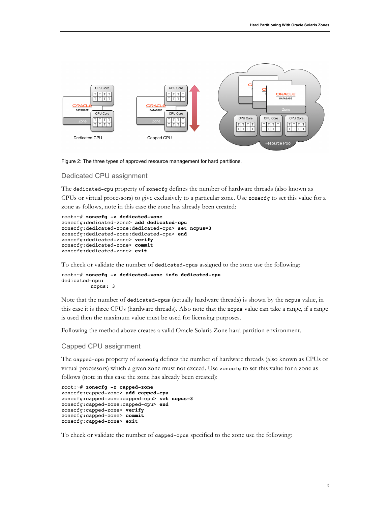

Figure 2: The three types of approved resource management for hard partitions.

#### Dedicated CPU assignment

The dedicated-cpu property of zonecfg defines the number of hardware threads (also known as CPUs or virtual processors) to give exclusively to a particular zone. Use zonecfg to set this value for a zone as follows, note in this case the zone has already been created:

```
root:~# zonecfg -z dedicated-zone
zonecfg:dedicated-zone> add dedicated-cpu
zonecfg:dedicated-zone:dedicated-cpu> set ncpus=3
zonecfg:dedicated-zone:dedicated-cpu> end
zonecfg:dedicated-zone> verify
zonecfg:dedicated-zone> commit
zonecfg:dedicated-zone> exit
```
To check or validate the number of dedicated-cpus assigned to the zone use the following:

```
root:~# zonecfg -z dedicated-zone info dedicated-cpu
dedicated-cpu:
         ncpus: 3
```
Note that the number of dedicated-cpus (actually hardware threads) is shown by the ncpus value, in this case it is three CPUs (hardware threads). Also note that the ncpus value can take a range, if a range is used then the maximum value must be used for licensing purposes.

Following the method above creates a valid Oracle Solaris Zone hard partition environment.

#### Capped CPU assignment

The capped-cpu property of zonecfg defines the number of hardware threads (also known as CPUs or virtual processors) which a given zone must not exceed. Use zonecfg to set this value for a zone as follows (note in this case the zone has already been created):

```
root:~# zonecfg -z capped-zone
zonecfg:capped-zone> add capped-cpu
zonecfg:capped-zone:capped-cpu> set ncpus=3
zonecfg:capped-zone:capped-cpu> end
zonecfg:capped-zone> verify
zonecfg:capped-zone> commit
zonecfg:capped-zone> exit
```
To check or validate the number of capped-cpus specified to the zone use the following: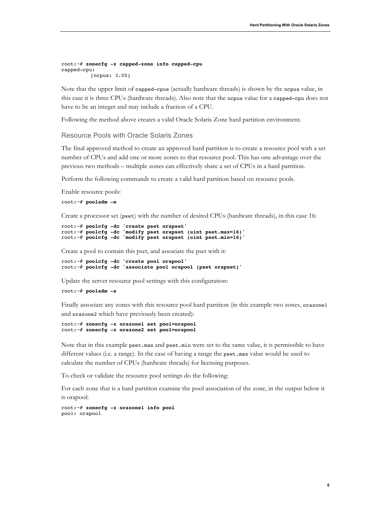**6**

```
root:~# zonecfg -z capped-zone info capped-cpu
capped-cpu:
         [ncpus: 3.00]
```
Note that the upper limit of capped-cpus (actually hardware threads) is shown by the ncpus value, in this case it is three CPUs (hardware threads). Also note that the ncpus value for a capped-cpu does not have to be an integer and may include a fraction of a CPU.

Following the method above creates a valid Oracle Solaris Zone hard partition environment.

Resource Pools with Oracle Solaris Zones

The final approved method to create an approved hard partition is to create a resource pool with a set number of CPUs and add one or more zones to that resource pool. This has one advantage over the previous two methods – multiple zones can effectively share a set of CPUs in a hard partition.

Perform the following commands to create a valid hard partition based on resource pools.

```
Enable resource pools:
```
root:~# **pooladm –e**

Create a processor set (pset) with the number of desired CPUs (hardware threads), in this case 16:

```
root:~# poolcfg -dc 'create pset orapset'
root:~# poolcfg -dc 'modify pset orapset (uint pset.max=16)'
root:~# poolcfg -dc 'modify pset orapset (uint pset.min=16)'
```
Create a pool to contain this pset, and associate the pset with it:

```
root:~# poolcfg -dc 'create pool orapool'
root:~# poolcfg -dc 'associate pool orapool (pset orapset)'
```
Update the server resource pool settings with this configuration:

#### root:~# **pooladm -s**

Finally associate any zones with this resource pool hard partition (in this example two zones, orazone1 and orazone2 which have previously been created):

```
root:~# zonecfg -z orazone1 set pool=orapool
root:~# zonecfg -z orazone2 set pool=orapool
```
Note that in this example pset.max and pset.min were set to the same value, it is permissible to have different values (i.e. a range). In the case of having a range the pset.max value would be used to calculate the number of CPUs (hardware threads) for licensing purposes.

To check or validate the resource pool settings do the following:

For each zone that is a hard partition examine the pool association of the zone, in the output below it is orapool:

```
root:~# zonecfg -z orazone1 info pool
pool: orapool
```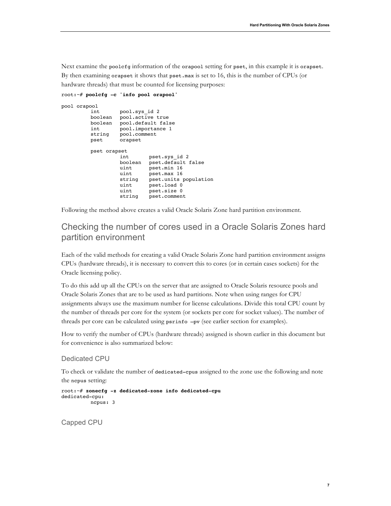Next examine the poolcfg information of the orapool setting for pset, in this example it is orapset. By then examining orapset it shows that pset.max is set to 16, this is the number of CPUs (or hardware threads) that must be counted for licensing purposes:

```
root:~# poolcfg -c 'info pool orapool' 
pool orapool
           int pool.sys_id 2
           boolean pool.active true
          boolean pool.default false
          int pool.importance 1
          string pool.comment<br>pset orapset
                     orapset
          pset orapset
                      int pset.sys_id 2
                      boolean pset.default false<br>uint pset.min 16
                            pset.min 16
                     uint pset.max 16
                      string pset.units population<br>uint pset.load 0
                      uint pset.load 0<br>uint pset.size 0
                      uint pset.size 0<br>string pset.commen
                               pset.comment
```
Following the method above creates a valid Oracle Solaris Zone hard partition environment.

### Checking the number of cores used in a Oracle Solaris Zones hard partition environment

Each of the valid methods for creating a valid Oracle Solaris Zone hard partition environment assigns CPUs (hardware threads), it is necessary to convert this to cores (or in certain cases sockets) for the Oracle licensing policy.

To do this add up all the CPUs on the server that are assigned to Oracle Solaris resource pools and Oracle Solaris Zones that are to be used as hard partitions. Note when using ranges for CPU assignments always use the maximum number for license calculations. Divide this total CPU count by the number of threads per core for the system (or sockets per core for socket values). The number of threads per core can be calculated using psrinfo –pv (see earlier section for examples).

How to verify the number of CPUs (hardware threads) assigned is shown earlier in this document but for convenience is also summarized below:

#### Dedicated CPU

To check or validate the number of dedicated-cpus assigned to the zone use the following and note the ncpus setting:

```
root:~# zonecfg -z dedicated-zone info dedicated-cpu
dedicated-cpu:
         ncpus: 3
```
Capped CPU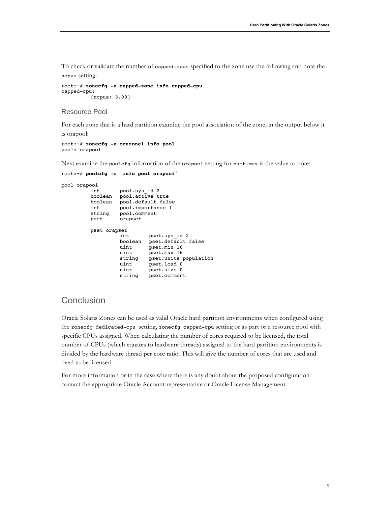To check or validate the number of capped-cpus specified to the zone use the following and note the ncpus setting:

```
root:~# zonecfg -z capped-zone info capped-cpu
capped-cpu:
         [ncpus: 3.00]
```
Resource Pool

For each zone that is a hard partition examine the pool association of the zone, in the output below it

is orapool:

```
root:~# zonecfg -z orazone1 info pool
pool: orapool
```
Next examine the poolcfg information of the orapool setting for pset.max is the value to note:

```
root:~# poolcfg -c 'info pool orapool' 
pool orapool
                    pool.sys id 2
           boolean pool.active true
           boolean pool.default false
          int pool.importance 1<br>string pool.comment
          string pool.comment<br>pset orapset
                    orapset
          pset orapset
                     int pset.sys_id 2
                     boolean pset.default false
                     uint pset.min 16
                     uint pset.max 16
                     string pset.units population<br>uint pset.load 0
                     uint pset.load 0<br>uint pset.size 0
                               pset.size 0
                     string pset.comment
```
### **Conclusion**

Oracle Solaris Zones can be used as valid Oracle hard partition environments when configured using the zonecfg dedicated-cpu setting, zonecfg capped-cpu setting or as part or a resource pool with specific CPUs assigned. When calculating the number of cores required to be licensed, the total number of CPUs (which equates to hardware threads) assigned to the hard partition environments is divided by the hardware thread per core ratio. This will give the number of cores that are used and need to be licensed.

For more information or in the case where there is any doubt about the proposed configuration contact the appropriate Oracle Account representative or Oracle License Management.